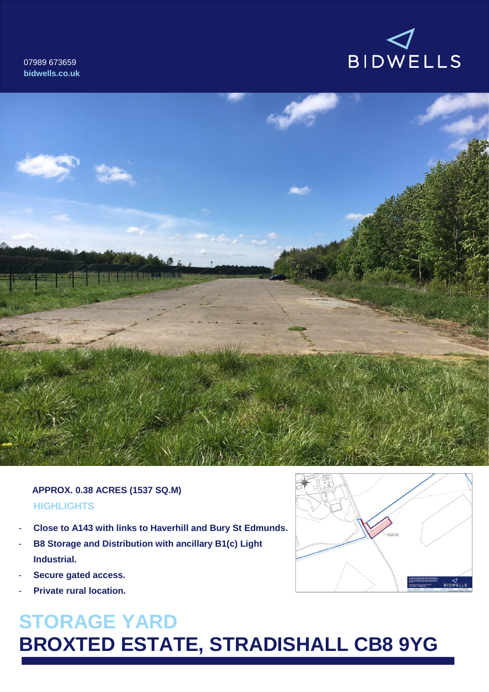07989 673659 **bidwells.co.uk**





## **HIGHLIGHTS APPROX. 0.38 ACRES (1537 SQ.M)**

- **Close to A143 with links to Haverhill and Bury St Edmunds.**
- **B8 Storage and Distribution with ancillary B1(c) Light Industrial.**
- Secure gated access.
- **Private rural location.**

# **STORAGE YARD BROXTED ESTATE, STRADISHALL CB8 9YG**